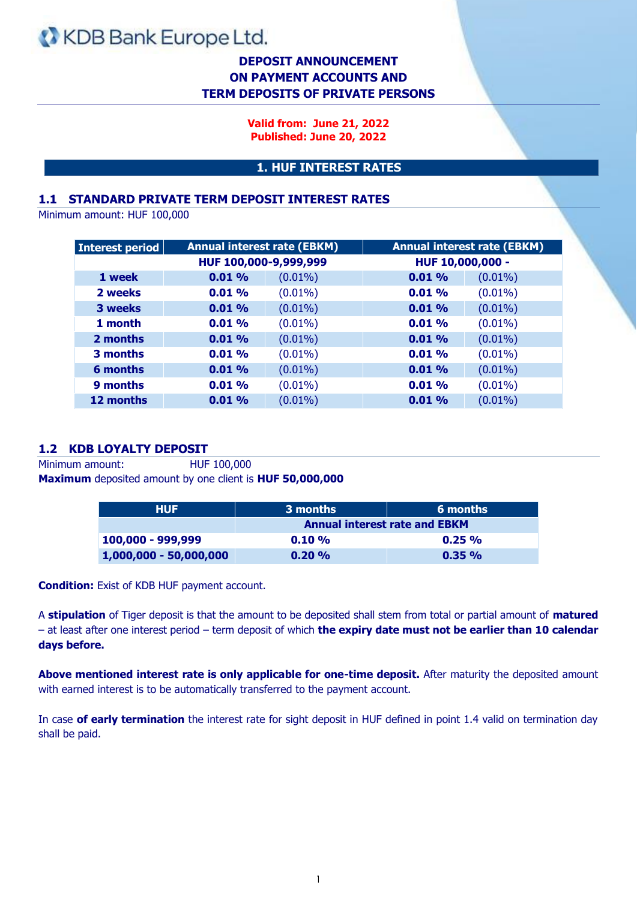## **DEPOSIT ANNOUNCEMENT ON PAYMENT ACCOUNTS AND TERM DEPOSITS OF PRIVATE PERSONS**

**Valid from: June 21, 2022 Published: June 20, 2022**

#### **1. HUF INTEREST RATES**

#### **1.1 STANDARD PRIVATE TERM DEPOSIT INTEREST RATES**

Minimum amount: HUF 100,000

| Interest period |       | <b>Annual interest rate (EBKM)</b> |          | <b>Annual interest rate (EBKM)</b> |
|-----------------|-------|------------------------------------|----------|------------------------------------|
|                 |       | HUF 100,000-9,999,999              |          | HUF 10,000,000 -                   |
| 1 week          | 0.01% | $(0.01\%)$                         | 0.01%    | $(0.01\%)$                         |
| 2 weeks         | 0.01% | $(0.01\%)$                         | $0.01\%$ | $(0.01\%)$                         |
| 3 weeks         | 0.01% | $(0.01\%)$                         | 0.01%    | $(0.01\%)$                         |
| 1 month         | 0.01% | $(0.01\%)$                         | 0.01%    | $(0.01\%)$                         |
| 2 months        | 0.01% | $(0.01\%)$                         | 0.01%    | $(0.01\%)$                         |
| 3 months        | 0.01% | $(0.01\%)$                         | $0.01\%$ | $(0.01\%)$                         |
| 6 months        | 0.01% | $(0.01\%)$                         | 0.01%    | $(0.01\%)$                         |
| 9 months        | 0.01% | $(0.01\%)$                         | 0.01%    | $(0.01\%)$                         |
| 12 months       | 0.01% | $(0.01\%)$                         | $0.01\%$ | $(0.01\%)$                         |

#### **1.2 KDB LOYALTY DEPOSIT**

Minimum amount: HUF 100,000 **Maximum** deposited amount by one client is **HUF 50,000,000**

| <b>HUF</b>             | 3 months                             | 6 months |  |
|------------------------|--------------------------------------|----------|--|
|                        | <b>Annual interest rate and EBKM</b> |          |  |
| 100,000 - 999,999      | 0.10%                                | $0.25\%$ |  |
| 1,000,000 - 50,000,000 | 0.20%                                | $0.35\%$ |  |

**Condition:** Exist of KDB HUF payment account.

A **stipulation** of Tiger deposit is that the amount to be deposited shall stem from total or partial amount of **matured** – at least after one interest period – term deposit of which **the expiry date must not be earlier than 10 calendar days before.**

**Above mentioned interest rate is only applicable for one-time deposit.** After maturity the deposited amount with earned interest is to be automatically transferred to the payment account.

In case **of early termination** the interest rate for sight deposit in HUF defined in point 1.4 valid on termination day shall be paid.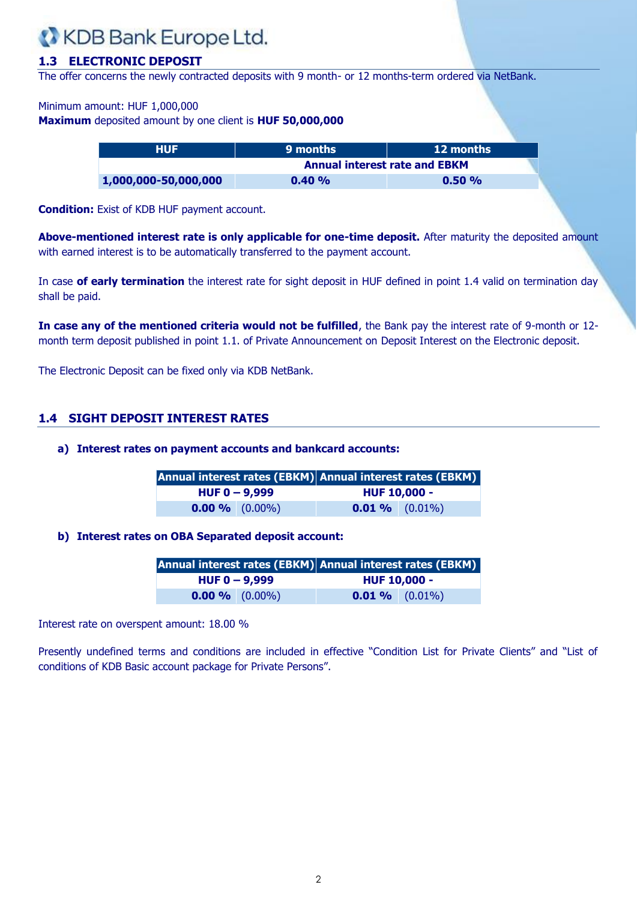### **1.3 ELECTRONIC DEPOSIT**

The offer concerns the newly contracted deposits with 9 month- or 12 months-term ordered via NetBank.

#### Minimum amount: HUF 1,000,000

**Maximum** deposited amount by one client is **HUF 50,000,000**

| <b>HUF</b>           | <b>9 months</b>                      | <b>12 months</b> |
|----------------------|--------------------------------------|------------------|
|                      | <b>Annual interest rate and EBKM</b> |                  |
| 1,000,000-50,000,000 | 0.40%                                | $0.50\%$         |

**Condition:** Exist of KDB HUF payment account.

**Above-mentioned interest rate is only applicable for one-time deposit.** After maturity the deposited amount with earned interest is to be automatically transferred to the payment account.

In case **of early termination** the interest rate for sight deposit in HUF defined in point 1.4 valid on termination day shall be paid.

**In case any of the mentioned criteria would not be fulfilled**, the Bank pay the interest rate of 9-month or 12 month term deposit published in point 1.1. of Private Announcement on Deposit Interest on the Electronic deposit.

The Electronic Deposit can be fixed only via KDB NetBank.

#### **1.4 SIGHT DEPOSIT INTEREST RATES**

#### **a) Interest rates on payment accounts and bankcard accounts:**

|                   |  | Annual interest rates (EBKM) Annual interest rates (EBKM) |  |
|-------------------|--|-----------------------------------------------------------|--|
| $HUF 0 - 9,999$   |  | <b>HUF 10,000 -</b>                                       |  |
| $0.00 \%$ (0.00%) |  | $0.01\%$ (0.01%)                                          |  |

#### **b) Interest rates on OBA Separated deposit account:**

|                  |                 |                     | Annual interest rates (EBKM) Annual interest rates (EBKM) |
|------------------|-----------------|---------------------|-----------------------------------------------------------|
|                  | $HUF 0 - 9,999$ | <b>HUF 10,000 -</b> |                                                           |
| $0.00\%$ (0.00%) |                 | $0.01\%$ (0.01%)    |                                                           |

Interest rate on overspent amount: 18.00 %

Presently undefined terms and conditions are included in effective "Condition List for Private Clients" and "List of conditions of KDB Basic account package for Private Persons".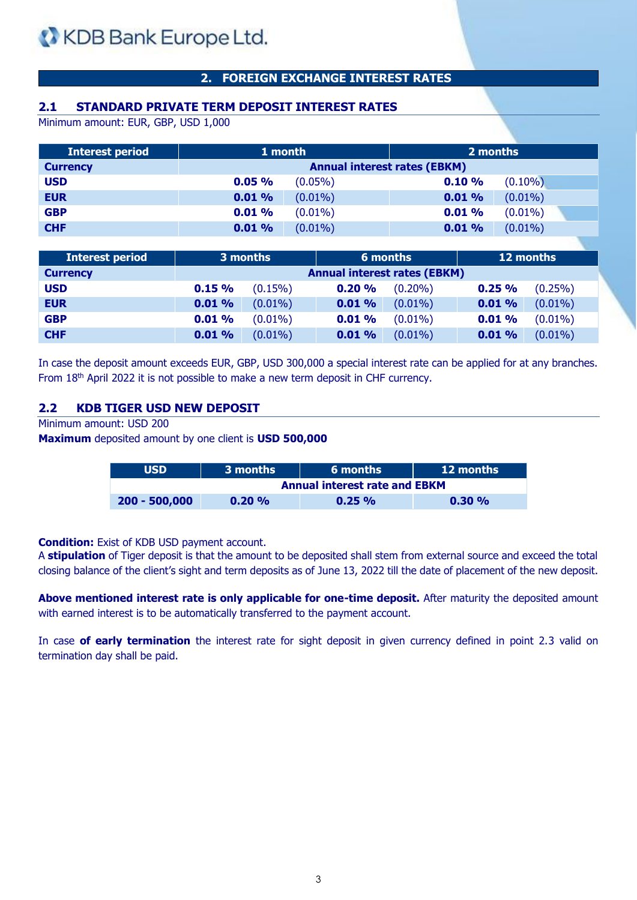## **2. FOREIGN EXCHANGE INTEREST RATES**

## **2.1 STANDARD PRIVATE TERM DEPOSIT INTEREST RATES**

Minimum amount: EUR, GBP, USD 1,000

| <b>Interest period</b> | 1 month                             |            | 2 months |            |
|------------------------|-------------------------------------|------------|----------|------------|
| <b>Currency</b>        | <b>Annual interest rates (EBKM)</b> |            |          |            |
| <b>USD</b>             | 0.05%                               | $(0.05\%)$ | 0.10%    | $(0.10\%)$ |
| <b>EUR</b>             | 0.01%                               | $(0.01\%)$ | 0.01%    | $(0.01\%)$ |
| <b>GBP</b>             | 0.01%                               | $(0.01\%)$ | 0.01%    | $(0.01\%)$ |
| <b>CHF</b>             | 0.01%                               | $(0.01\%)$ | 0.01%    | $(0.01\%)$ |

| <b>Interest period</b> |                                     | 3 months   |       | 6 months   |       | 12 months  |
|------------------------|-------------------------------------|------------|-------|------------|-------|------------|
| <b>Currency</b>        | <b>Annual interest rates (EBKM)</b> |            |       |            |       |            |
| <b>USD</b>             | 0.15%                               | $(0.15\%)$ | 0.20% | $(0.20\%)$ | 0.25% | $(0.25\%)$ |
| <b>EUR</b>             | 0.01%                               | $(0.01\%)$ | 0.01% | $(0.01\%)$ | 0.01% | $(0.01\%)$ |
| <b>GBP</b>             | 0.01%                               | $(0.01\%)$ | 0.01% | $(0.01\%)$ | 0.01% | $(0.01\%)$ |
| <b>CHF</b>             | 0.01%                               | $(0.01\%)$ | 0.01% | $(0.01\%)$ | 0.01% | $(0.01\%)$ |

In case the deposit amount exceeds EUR, GBP, USD 300,000 a special interest rate can be applied for at any branches. From 18<sup>th</sup> April 2022 it is not possible to make a new term deposit in CHF currency.

#### **2.2 KDB TIGER USD NEW DEPOSIT**

Minimum amount: USD 200

**Maximum** deposited amount by one client is **USD 500,000**

| <b>USD</b>      | 3 months<br>6 months                 |          | <b>12 months</b> |  |  |
|-----------------|--------------------------------------|----------|------------------|--|--|
|                 | <b>Annual interest rate and EBKM</b> |          |                  |  |  |
| $200 - 500,000$ | 0.20%                                | $0.25\%$ | $0.30\%$         |  |  |

**Condition:** Exist of KDB USD payment account.

A **stipulation** of Tiger deposit is that the amount to be deposited shall stem from external source and exceed the total closing balance of the client's sight and term deposits as of June 13, 2022 till the date of placement of the new deposit.

**Above mentioned interest rate is only applicable for one-time deposit.** After maturity the deposited amount with earned interest is to be automatically transferred to the payment account.

In case **of early termination** the interest rate for sight deposit in given currency defined in point 2.3 valid on termination day shall be paid.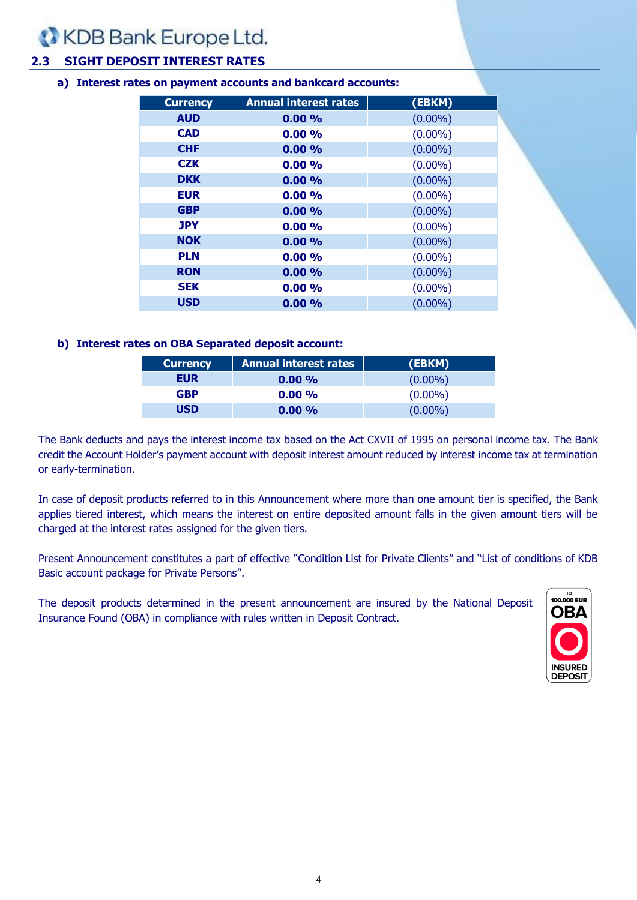## **2.3 SIGHT DEPOSIT INTEREST RATES**

#### **a) Interest rates on payment accounts and bankcard accounts:**

| <b>Currency</b> | <b>Annual interest rates</b> | (EBKM)     |
|-----------------|------------------------------|------------|
| <b>AUD</b>      | 0.00%                        | $(0.00\%)$ |
| <b>CAD</b>      | $0.00\%$                     | $(0.00\%)$ |
| <b>CHF</b>      | 0.00%                        | $(0.00\%)$ |
| <b>CZK</b>      | 0.00%                        | $(0.00\%)$ |
| <b>DKK</b>      | 0.00%                        | $(0.00\%)$ |
| <b>EUR</b>      | $0.00\%$                     | $(0.00\%)$ |
| <b>GBP</b>      | 0.00%                        | $(0.00\%)$ |
| <b>JPY</b>      | 0.00%                        | $(0.00\%)$ |
| <b>NOK</b>      | 0.00%                        | $(0.00\%)$ |
| <b>PLN</b>      | $0.00\%$                     | $(0.00\%)$ |
| <b>RON</b>      | 0.00%                        | $(0.00\%)$ |
| <b>SEK</b>      | 0.00%                        | $(0.00\%)$ |
| <b>USD</b>      | 0.00%                        | $(0.00\%)$ |
|                 |                              |            |

#### **b) Interest rates on OBA Separated deposit account:**

| <b>Currency</b> | <b>Annual interest rates</b> | (EBKM)     |
|-----------------|------------------------------|------------|
| EUR             | $0.00\%$                     | $(0.00\%)$ |
| <b>GBP</b>      | $0.00\%$                     | $(0.00\%)$ |
| <b>USD</b>      | $0.00\%$                     | $(0.00\%)$ |

The Bank deducts and pays the interest income tax based on the Act CXVII of 1995 on personal income tax. The Bank credit the Account Holder's payment account with deposit interest amount reduced by interest income tax at termination or early-termination.

In case of deposit products referred to in this Announcement where more than one amount tier is specified, the Bank applies tiered interest, which means the interest on entire deposited amount falls in the given amount tiers will be charged at the interest rates assigned for the given tiers.

Present Announcement constitutes a part of effective "Condition List for Private Clients" and "List of conditions of KDB Basic account package for Private Persons".

The deposit products determined in the present announcement are insured by the National Deposit Insurance Found (OBA) in compliance with rules written in Deposit Contract.